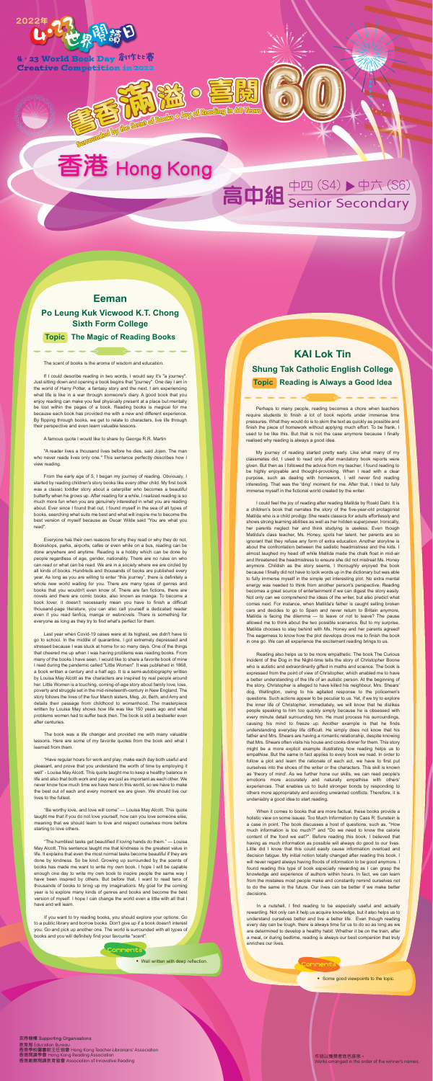

4·23 World Book Day 倉1作ヒ寄 **Creative Competition in 2022** 

## 香港 Hong Kong

BUNDAIN AND COLOR OF THE COLOR

## 高中組 Senior Secondary



#### **支持機構 Supporting Organisations 支持機構 Supporting Organisations**

教育局 Education Bureau 香港學校圖書館主任協會 Hong Kong Teacher-Librarians' Association 香港閱讀學會 Hong Kong Reading Association 香港閱讀學會 Hong Kong Reading Association <sub>出版文章</sub> Hong Rong Rodding / boodding.htm<br>港創意閱讀教育協會 Association of Innovative Readina  $\mathcal{L}$  association of Innovative Reading Reading Reading Reading Reading Reading Reading Reading Reading Reading Reading Reading Reading Reading Reading Reading Reading Reading Reading Reading Reading Reading Reading Re 教育局 Education Bureau 香港創意閱讀教育協會 Association of Innovative Reading

作品以獲獎者姓名排序。 Works arranged in the order of the winner's names.

### **Eeman**

### **Po Leung Kuk Vicwood K.T. Chong Sixth Form College**

**Topic The Magic of Reading Books**

The scent of books is the aroma of wisdom and education.

If I could describe reading in two words, I would say it's "a journey". Just sitting down and opening a book begins that "journey". One day I am in the world of Harry Potter, a fantasy story and the next, I am experiencing what life is like in a war through someone's diary. A good book that you enjoy reading can make you feel physically present at a place but mentally be lost within the pages of a book. Reading books is magical for me because each book has provided me with a new and different experience. By flipping through books, we get to relate to characters, live life through their perspective and even learn valuable lessons.

#### A famous quote I would like to share by George R.R. Martin

"A reader lives a thousand lives before he dies, said Jojen. The man who never reads lives only one." This sentence perfectly describes how I view reading.

From the early age of 5, I began my journey of reading. Obviously, I started by reading children's story books like every other child. My first book was a classic toddler story about a caterpillar who becomes a beautiful butterfly when he grows up. After reading for a while, I realized reading is so much more fun when you are genuinely interested in what you are reading about. Ever since I found that out, I found myself in the sea of all types of books, searching what suits me best and what will inspire me to become the best version of myself because as Oscar Wilde said "You are what you read".

Everyone has their own reasons for why they read or why they do not. Bookshops, parks, airports, cafes or even while on a bus, reading can be done anywhere and anytime. Reading is a hobby which can be done by people regardless of age, gender, nationality. There are no rules on who can read or what can be read. We are in a society where we are circled by all kinds of books. Hundreds and thousands of books are published every year. As long as you are willing to enter "this journey", there is definitely a whole new world waiting for you. There are many types of genres and books that you wouldn't even know of. There are fan fictions, there are novels and there are comic books, also known as manga. To become a book lover, it doesn't necessarily mean you have to finish a difficult thousand-page literature, you can also call yourself a dedicated reader even if you read fanfics, manga or webnovels. There is something for everyone as long as they try to find what's perfect for them.

Last year when Covid-19 cases were at its highest, we didn't have to go to school. In the middle of quarantine, I got extremely depressed and stressed because I was stuck at home for so many days. One of the things that cheered me up when I was having problems was reading books. From many of the books I have seen, I would like to share a favorite book of mine I read during the pandemic called "Little Women". It was published in 1868, a book written a century and a half ago. It is a semi-autobiography written by Louisa May Alcott as the characters are inspired by real people around her. Little Women is a touching, coming-of-age story about family love, loss, poverty and struggle set in the mid-nineteenth-century in New England. The story follows the lives of the four March sisters, Meg, Jo, Beth, and Amy and details their passage from childhood to womanhood. The masterpiece written by Louisa May shows how life was like 150 years ago and what problems women had to suffer back then. The book is still a bestseller even after centuries.

The book was a life changer and provided me with many valuable lessons. Here are some of my favorite quotes from the book and what I learned from them.

"Have regular hours for work and play; make each day both useful and pleasant, and prove that you understand the worth of time by employing it well" - Louisa May Alcott. This quote taught me to keep a healthy balance in life and also that both work and play are just as important as each other. We never know how much time we have here in this world, so we have to make the best out of each and every moment we are given. We should live our lives to the fullest.

"Be worthy love, and love will come" — Louisa May Alcott. This quote taught me that if you do not love yourself, how can you love someone else, meaning that we should learn to love and respect ourselves more before starting to love others.

"The humblest tasks get beautified if loving hands do them." — Louisa May Alcott. This sentence taught me that kindness is the greatest value in life. It explains that even the most normal tasks become beautiful if they are done by kindness. So be kind. Growing up surrounded by the scents of books has made me want to write my own book. I hope I will be capable enough one day to write my own book to inspire people the same way I have been inspired by others. But before that, I want to read tens of thousands of books to bring up my imaginations. My goal for the coming year is to explore many kinds of genres and books and become the best version of myself. I hope I can change the world even a little with all that I have and will learn.

If you want to try reading books, you should explore your options. Go to a public library and borrow books. Don't give up if a book doesn't interest you. Go and pick up another one. The world is surrounded with all types of books and you will definitely find your favourite "scent".

## **KAI Lok Tin Shung Tak Catholic English College**

**Topic Reading is Always a Good Idea**

Perhaps to many people, reading becomes a chore when teachers require students to finish a lot of book reports under immense time pressures. What they would do is to skim the text as quickly as possible and finish the piece of homework without applying much effort. To be frank, I used to be like this. But that is not the case anymore because I finally realised why reading is always a good idea.

My journey of reading started pretty early. Like what many of my classmates did, I used to read only after mandatory book reports were given. But then as I followed the advice from my teacher, I found reading to be highly enjoyable and thought-provoking. When I read with a clear purpose, such as dealing with homework, I will never find reading interesting. That was the 'ding' moment for me. After that, I tried to fully immerse myself in the fictional world created by the writer.

I could feel the joy of reading after reading Matilda by Roald Dahl. It is a children's book that narrates the story of the five-year-old protagonist Matilda who is a child prodigy. She reads classics for adults effortlessly and shows strong learning abilities as well as her hidden superpower. Ironically, her parents neglect her and think studying is useless. Even though Matilda's class teacher, Ms. Honey, spots her talent, her parents are so ignorant that they refuse any form of extra education. Another storyline is about the confrontation between the sadistic headmistress and the kids. I almost laughed my head off while Matilda made the chalk float in mid-air and threatened the headmistress to ensure she did not mistreat Ms. Honey anymore. Childish as the story seems, I thoroughly enjoyed the book because I finally did not have to look words up in the dictionary but was able to fully immerse myself in the simple yet interesting plot. No extra mental energy was needed to think from another person's perspective. Reading becomes a great source of entertainment if we can digest the story easily. Not only can we comprehend the ideas of the writer, but also predict what comes next. For instance, when Matilda's father is caught selling broken cars and decides to go to Spain and never return to Britain anymore, Matilda is facing the dilemma — to leave or not to leave? The pause allowed me to think about the two possible scenarios. But to my surprise, Matilda chooses to stay behind with Ms. Honey and her parents agreed! The eagerness to know how the plot develops drove me to finish the book in one go. We can all experience the excitement reading brings to us.

Reading also helps us to be more empathetic. The book The Curious Incident of the Dog in the Night-time tells the story of Christopher Boone who is autistic and extraordinarily gifted in maths and science. The book is expressed from the point of view of Christopher, which enabled me to have a better understanding of the life of an autistic person. At the beginning of the story, Christopher is alleged to have killed his neighbour, Mrs. Shears' dog, Wellington, owing to his agitated response to the policemen's questions. Such actions appear to be peculiar to us. Yet, if we try to explore the inner life of Christopher, immediately, we will know that he dislikes people speaking to him too quickly simply because he is obsessed with every minute detail surrounding him. He must process his surroundings, causing his mind to freeze up. Another example is that he finds understanding everyday life difficult. He simply does not know that his father and Mrs. Shears are having a romantic relationship, despite knowing that Mrs. Shears often visits his house and cooks dinner for them. This story might be a more explicit example illustrating how reading helps us to empathise. But the same in fact applies to every book we read. In order to follow a plot and learn the rationale of each act, we have to first put ourselves into the shoes of the writer or the characters. This skill is known as 'theory of mind'. As we further hone our skills, we can read people's emotions more accurately and naturally empathise with others' experiences. That enables us to build stronger bonds by responding to others more appropriately and avoiding unwanted conflicts. Therefore, it is undeniably a good idea to start reading.

When it comes to books that are more factual, these books provide a holistic view on some issues. Too Much Information by Cass R. Sunstein is a case in point. The book discusses a host of questions, such as, "How much information is too much?" and "Do we need to know the calorie content of the food we eat?". Before reading this book, I believed that having as much information as possible will always do good to our lives. Little did I know that this could easily cause information overload and decision fatigue. My initial notion totally changed after reading this book. I will never regard always having floods of information to be good anymore. I found reading this type of book especially rewarding as I can grasp the knowledge and experience of authors within hours. In fact, we can learn from the mistakes most people make and constantly remind ourselves not to do the same in the future. Our lives can be better if we make better decisions.

In a nutshell, I find reading to be especially useful and actually rewarding. Not only can it help us acquire knowledge, but it also helps us to understand ourselves better and live a better life. Even though reading every day can be tough, there is always time for us to do so as long as we are determined to develop a healthy habit. Whether it be on the train, after a meal, or during bedtime, reading is always our best companion that truly enriches our lives.

#### Comment:

• Some good viewpoints to the topic.

**‧** Well written with deep reflection.

#### Comments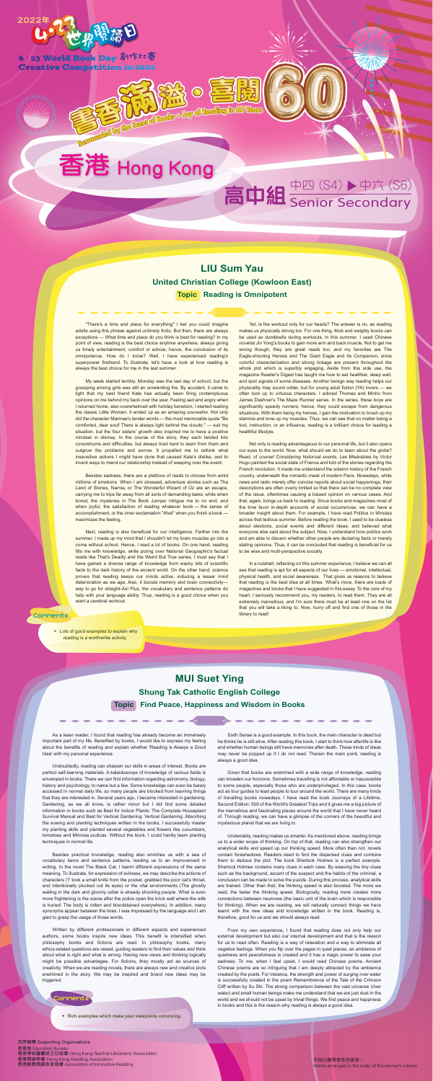

4·23 World Book Day 創作比賽 **Creative Competition in 2022** 

## 香港 Hong Kong

**BELLER TO BELLER** 

# 高中組 Senior Secondary

作品排名不分先後,以獲獎者姓名排序。

**支持機構 Supporting Organisations 支持機構 Supporting Organisations** 教育局 Education Bureau 教育局 Education Bureau 香港閱讀學會 Hong Kong Reading Association 香港學校圖書館主任協會 Hong Kong Teacher-Librarians' Association 香港閱讀學會 Hong Kong Reading Association Teacher-Librarians' Association 香港創意閱讀教育協會 Association of Innovative Reading 香港創意閱讀教育協會 Association of Innovative Reading

Works are not the order of the winner of the winner of the winner.

作品以獲獎者姓名排序。 Works arranged in the order of the winner's names.

"There's a time and place for everything" I bet you could imagine adults using this phrase against untimely frolic. But then, there are always exceptions — What time and place do you think is best for reading? In my point of view, reading is the best choice anytime anywhere, always giving us timely entertainment, comfort or advice; hence, the conclusion of its omnipotence. How do I know? Well, I have experienced reading's superpower firsthand. To illustrate, let's have a look at how reading is always the best choice for me in the last summer.

My week started terribly. Monday was the last day of school, but the gossiping among girls was still an unrelenting fire. By accident, it came to light that my best friend Kate has actually been firing contemptuous opinions on me behind my back over the year. Feeling sad and angry when I returned home, also overwhelmed with holiday boredom, I started reading the classic Little Women. It ended up as an amazing counsellor. Not only did the character Marmee's tender words — the most memorable quote "Be comforted, dear soul! There is always light behind the clouds," — suit my situation, but the four sisters' growth also inspired me to have a positive mindset in dismay. In the course of the story, they each landed into conundrums and difficulties, but always tried hard to learn from them and outgrow the problems and sorrow. It propelled me to rethink what insensitive actions I might have done that caused Kate's dislike, and to invent ways to mend our relationship instead of weeping over the event.

Besides sadness, there are a plethora of reads to choose from amid millions of emotions. When I am stressed, adventure stories such as The Land of Stories, Narnia, or The Wonderful Wizard of Oz are an escape, carrying me to trips far away from all sorts of demanding tasks; while when bored, the mysteries in The Book Jumper intrigue me to no end; and when joyful, the satisfaction of reading whatever book — the sense of accomplishment, or the inner exclamation "Aha!" when you finish a book maximizes the feeling.

Next, reading is also beneficial for our intelligence. Farther into the summer, I made up my mind that I shouldn't let my brain muscles go into a coma without school. Hence, I read a lot of books. On one hand, reading fills me with knowledge, while poring over National Geographic's factual reads like That's Deadly and the Weird But True series, I must say that I have gained a diverse range of knowledge from wacky bits of scientific facts to the dark history of the ancient world. On the other hand, science proves that reading keeps our minds active, inducing a lesser mind deterioration as we age. Also, it boosts memory and brain connectivity way to go for straight-As! Plus, the vocabulary and sentence patterns do help with your language ability. Thus, reading is a good choice when you

want a cerebral workout.

Yet, is the workout only for our heads? The answer is no, as reading makes us physically strong too. For one thing, thick and weighty books can be used as dumbbells during workouts. In this summer, I used Chinese novelist Jin Yong's books to gain more arm and back muscle. Not to get me wrong though, they are great reads too; and my favorites are The Eagle-shooting Heroes and The Giant Eagle and Its Companion, since colorful characterization and strong linkage are present throughout the whole plot which is superbly engaging. Aside from this side use, the magazine Reader's Digest has taught me how to eat healthier, sleep well, and spot signals of some diseases. Another benign way reading helps our physicality may sound odder, but for young adult fiction (YA) lovers — we often look up to virtuous characters. I adored Thomas and Minho from James Dashner's The Maze Runner series. In the series, these boys are significantly speedy runners; hence, they could escape from dangerous situations. With them being my heroes, I gain the motivation to brush up my stamina and tone up my muscles. Thus, we can see that no matter being a tool, instruction, or an influence, reading is a brilliant choice for leading a healthful lifestyle.

Not only is reading advantageous to our personal life, but it also opens our eyes to the world. Now, what should we do to learn about the globe? Read, of course! Considering historical events, Les Misérables by Victor Hugo painted the social state of France and told of the stories regarding the French revolution. It made me understand the solemn history of the French country, underneath the romantic mask of modern Paris. Nowadays, while news and radio merely offer concise reports about social happenings, their descriptions are often overly limited so that there can be no complete view of the issue, oftentimes causing a biased opinion on various cases. And that, again, brings us back to reading. Since books and magazines most of the time favor in-depth accounts of social occurrences, we can have a broader insight about them. For example, I have read Politics in Minutes across that tedious summer. Before reading the book, I used to be clueless about elections, social events and different ideas; and believed what everyone else said about the subject. Now, I understand how politics work and am able to discern whether other people are declaring facts or merely stating opinions. Thus, it can be concluded that reading is beneficial for us to be wise and multi-perspective socially.

In a nutshell, reflecting on this summer experience, I believe we can all see that reading is apt for all aspects of our lives — emotional, intellectual, physical health, and social awareness. That gives us reasons to believe that reading is the best idea at all times. What's more, there are loads of magazines and books that I have suggested in this essay. To the core of my heart, I seriously recommend you, my readers, to read them. They are all extremely marvellous, and I'm sure there must be at least one on the list that you will take a liking to. Now, hurry off and find one of those in the library to read!

**LIU Sum Yau United Christian College (Kowloon East) Topic Reading is Omnipotent**

### **MUI Suet Ying Shung Tak Catholic English College Topic Find Peace, Happiness and Wisdom in Books**

• Rich examples which make your viewpoints convincing.



As a keen reader, I found that reading has already become an immensely important part of my life. Benefited by books, I would like to express my feeling about the benefits of reading and explain whether 'Reading is Always a Good Idea' with my personal experience.

Undoubtedly, reading can sharpen our skills in areas of interest. Books are perfect self-learning materials. A kaleidoscope of knowledge of various fields is enveloped in books. There we can find information regarding astronomy, biology, history and psychology, to name but a few. Some knowledge can even be barely accessed in normal daily life, so many people are blocked from learning things that they are interested in. Several years ago, I became interested in gardening. Gardening, as we all know, is rather minor but I did find some detailed information in books such as Best for Indoor Plants: The Complete Houseplant Survival Manual and Best for Vertical Gardening: Vertical Gardening. Absorbing the sowing and planting techniques written in the books, I successfully master my planting skills and planted several vegetables and flowers like cucumbers, tomatoes and Mimosa pudicas. Without the book, I could hardly learn planting techniques in normal life.

Besides practical knowledge, reading also enriches us with a sea of vocabulary items and sentence patterns, leading us to an improvement in writing. In the novel The Black Cat, I learnt different expressions of the same meaning. To illustrate, for expression of evilness, we may describe the actions of characters ('I' took a small knife from the pocket, grabbed the poor cat's throat, and intentionally plucked out its eyes) or the vital environments (The ghostly wailing in the dark and gloomy cellar is already shocking people. What is even more frightening is the scene after the police open the brick wall where the wife is buried: The body is rotten and bloodstained everywhere). In addition, many synonyms appear between the lines. I was impressed by the language and I am glad to grasp the usage of those words.

Written by different professionals in different aspects and experienced authors, some books inspire new ideas. This benefit is intensified when philosophy books and fictions are read. In philosophy books, many ethics-related questions are raised, guiding readers to find their values and think about what is right and what is wrong. Having new views and thinking logically might be possible advantages. For fictions, they mostly act as sources of creativity. When we are reading novels, there are always new and creative plots enshrined in the story. We may be inspired and brand new ideas may be triggered.

Sixth Sense is a good example. In this book, the main character is dead but he thinks he is still alive. After reading this book, I start to think how afterlife is like and whether human beings still have memories after death. These kinds of ideas may never be popped up if I do not read. Therein the main point, reading is always a good idea.

Given that books are enshrined with a wide range of knowledge, reading can broaden our horizons. Sometimes travelling is not affordable or inaccessible to some people, especially those who are underprivileged. In this case, books act as tour guides to lead people to tour around the world. There are many kinds of travelling books nowadays. I have read the book Journeys of a Lifetime, Second Edition: 500 of the World's Greatest Trips and it gives me a big picture of the marvellous and fascinating places around the world that I have never heard of. Through reading, we can have a glimpse of the corners of the beautiful and mysterious planet that we are living in.

Undeniably, reading makes us smarter. As mentioned above, reading brings us to a wider scope of thinking. On top of that, reading can also strengthen our analytical skills and speed up our thinking speed. More often than not, novels contain foreshadows. Readers need to find the dispersed clues and combine them to deduce the plot. The book Sherlock Holmes is a perfect example. Sherlock Holmes contains many clues in each case. By weaving the tiny clues such as the background, accent of the suspect and the habits of the criminal, a conclusion can be made to solve the puzzle. During this process, analytical skills are trained. Other than that, the thinking speed is also boosted. The more we read, the faster the thinking speed. Biologically, reading more creates more connections between neurones (the basic unit of the brain which is responsible for thinking). When we are reading, we will naturally connect things we have learnt with the new ideas and knowledge written in the book. Reading is, therefore, good for us and we should always read.

From my own experience, I found that reading does not only help our external development but also our internal development and that is the reason for us to read often. Reading is a way of relaxation and a way to eliminate all negative feelings. When you flip over the pages in quiet places, an ambience of quietness and peacefulness is created and it has a magic power to ease your sadness. To me, when I feel upset, I would read Chinese poems. Ancient Chinese poems are so intriguing that I am deeply attracted by the ambience created by the poets. For instance, the strength and power of surging river water is successfully created in the poem Remembrance of the Tale of the Crimson Cliff written by Su Shi. The strong comparison between the vast universe (river water) and small human beings make me understand that we are just dust in the world and we should not be upset by trivial things. We find peace and happiness in books and this is the reason why reading is always a good idea.

#### Comments

**‧** Lots of good examples to explain why reading is a worthwhile activity.